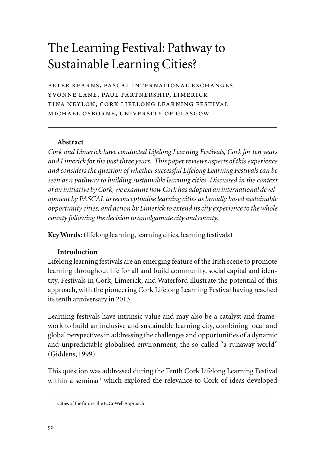# The Learning Festival: Pathway to Sustainable Learning Cities?

peter kearns, pascal international exchanges yvonne lane, paul partnership, limerick tina neylon, cork lifelong learning festival michael osborne, university of glasgow

## **Abstract**

*Cork and Limerick have conducted Lifelong Learning Festivals, Cork for ten years and Limerick for the past three years. This paper reviews aspects of this experience and considers the question of whether successful Lifelong Learning Festivals can be seen as a pathway to building sustainable learning cities. Discussed in the context of an initiative by Cork, we examine how Cork has adopted an international development by PASCAL to reconceptualise learning cities as broadly based sustainable opportunity cities, and action by Limerick to extend its city experience to the whole county following the decision to amalgamate city and county.*

**Key Words:** (lifelong learning, learning cities, learning festivals)

## **Introduction**

Lifelong learning festivals are an emerging feature of the Irish scene to promote learning throughout life for all and build community, social capital and identity. Festivals in Cork, Limerick, and Waterford illustrate the potential of this approach, with the pioneering Cork Lifelong Learning Festival having reached its tenth anniversary in 2013.

Learning festivals have intrinsic value and may also be a catalyst and framework to build an inclusive and sustainable learning city, combining local and global perspectives in addressing the challenges and opportunities of a dynamic and unpredictable globalised environment, the so-called "a runaway world" (Giddens, 1999).

This question was addressed during the Tenth Cork Lifelong Learning Festival within a seminar<sup>1</sup> which explored the relevance to Cork of ideas developed

<sup>1</sup> Cities of the future: the EcCoWell Approach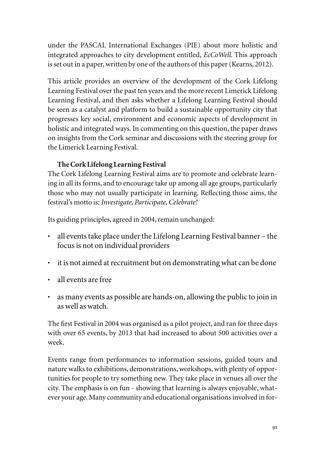under the PASCAL International Exchanges (PIE) about more holistic and integrated approaches to city development entitled, *EcCoWell*. This approach is set out in a paper, written by one of the authors of this paper (Kearns, 2012).

This article provides an overview of the development of the Cork Lifelong Learning Festival over the past ten years and the more recent Limerick Lifelong Learning Festival, and then asks whether a Lifelong Learning Festival should be seen as a catalyst and platform to build a sustainable opportunity city that progresses key social, environment and economic aspects of development in holistic and integrated ways. In commenting on this question, the paper draws on insights from the Cork seminar and discussions with the steering group for the Limerick Learning Festival.

# **The Cork Lifelong Learning Festival**

The Cork Lifelong Learning Festival aims are to promote and celebrate learning in all its forms, and to encourage take up among all age groups, particularly those who may not usually participate in learning. Reflecting those aims, the festival's motto is: *Investigate, Participate, Celebrate!*

Its guiding principles, agreed in 2004, remain unchanged:

- • all events take place under the Lifelong Learning Festival banner the focus is not on individual providers
- it is not aimed at recruitment but on demonstrating what can be done
- • all events are free
- • as many events as possible are hands-on, allowing the public to join in as well as watch.

The first Festival in 2004 was organised as a pilot project, and ran for three days with over 65 events, by 2013 that had increased to about 500 activities over a week.

Events range from performances to information sessions, guided tours and nature walks to exhibitions, demonstrations, workshops, with plenty of opportunities for people to try something new. They take place in venues all over the city. The emphasis is on fun - showing that learning is always enjoyable, whatever your age. Many community and educational organisations involved in for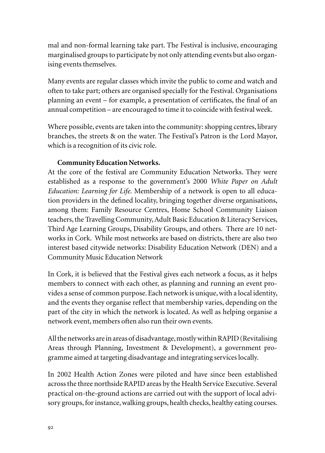mal and non-formal learning take part. The Festival is inclusive, encouraging marginalised groups to participate by not only attending events but also organising events themselves.

Many events are regular classes which invite the public to come and watch and often to take part; others are organised specially for the Festival. Organisations planning an event – for example, a presentation of certificates, the final of an annual competition – are encouraged to time it to coincide with festival week.

Where possible, events are taken into the community: shopping centres, library branches, the streets & on the water. The Festival's Patron is the Lord Mayor, which is a recognition of its civic role.

## **Community Education Networks.**

At the core of the festival are Community Education Networks. They were established as a response to the government's 2000 *White Paper on Adult Education: Learning for Life.* Membership of a network is open to all education providers in the defined locality, bringing together diverse organisations, among them: Family Resource Centres, Home School Community Liaison teachers, the Travelling Community, Adult Basic Education & Literacy Services, Third Age Learning Groups, Disability Groups, and others. There are 10 networks in Cork. While most networks are based on districts, there are also two interest based citywide networks: Disability Education Network (DEN) and a Community Music Education Network

In Cork, it is believed that the Festival gives each network a focus, as it helps members to connect with each other, as planning and running an event provides a sense of common purpose. Each network is unique, with a local identity, and the events they organise reflect that membership varies, depending on the part of the city in which the network is located. As well as helping organise a network event, members often also run their own events.

All the networks are in areas of disadvantage, mostly within RAPID (Revitalising Areas through Planning, Investment & Development), a government programme aimed at targeting disadvantage and integrating services locally.

In 2002 Health Action Zones were piloted and have since been established across the three northside RAPID areas by the Health Service Executive. Several practical on-the-ground actions are carried out with the support of local advisory groups, for instance, walking groups, health checks, healthy eating courses.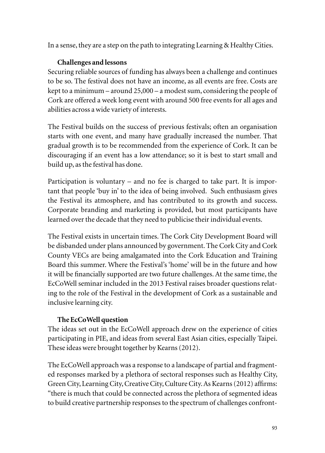In a sense, they are a step on the path to integrating Learning & Healthy Cities.

## **Challenges and lessons**

Securing reliable sources of funding has always been a challenge and continues to be so. The festival does not have an income, as all events are free. Costs are kept to a minimum – around 25,000 – a modest sum, considering the people of Cork are offered a week long event with around 500 free events for all ages and abilities across a wide variety of interests.

The Festival builds on the success of previous festivals; often an organisation starts with one event, and many have gradually increased the number. That gradual growth is to be recommended from the experience of Cork. It can be discouraging if an event has a low attendance; so it is best to start small and build up, as the festival has done.

Participation is voluntary – and no fee is charged to take part. It is important that people 'buy in' to the idea of being involved. Such enthusiasm gives the Festival its atmosphere, and has contributed to its growth and success. Corporate branding and marketing is provided, but most participants have learned over the decade that they need to publicise their individual events.

The Festival exists in uncertain times. The Cork City Development Board will be disbanded under plans announced by government. The Cork City and Cork County VECs are being amalgamated into the Cork Education and Training Board this summer. Where the Festival's 'home' will be in the future and how it will be financially supported are two future challenges. At the same time, the EcCoWell seminar included in the 2013 Festival raises broader questions relating to the role of the Festival in the development of Cork as a sustainable and inclusive learning city.

## **The EcCoWell question**

The ideas set out in the EcCoWell approach drew on the experience of cities participating in PIE, and ideas from several East Asian cities, especially Taipei. These ideas were brought together by Kearns (2012).

The EcCoWell approach was a response to a landscape of partial and fragmented responses marked by a plethora of sectoral responses such as Healthy City, Green City, Learning City, Creative City, Culture City. As Kearns (2012) affirms: "there is much that could be connected across the plethora of segmented ideas to build creative partnership responses to the spectrum of challenges confront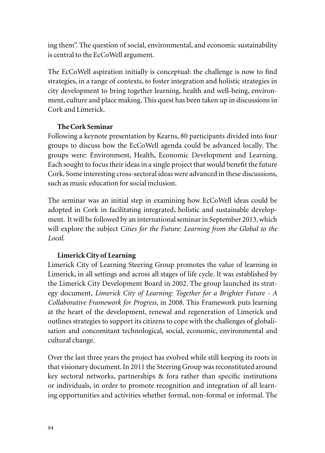ing them". The question of social, environmental, and economic sustainability is central to the EcCoWell argument.

The EcCoWell aspiration initially is conceptual: the challenge is now to find strategies, in a range of contexts, to foster integration and holistic strategies in city development to bring together learning, health and well-being, environment, culture and place making. This quest has been taken up in discussions in Cork and Limerick.

## **The Cork Seminar**

Following a keynote presentation by Kearns, 80 participants divided into four groups to discuss how the EcCoWell agenda could be advanced locally. The groups were: Environment, Health, Economic Development and Learning. Each sought to focus their ideas in a single project that would benefit the future Cork. Some interesting cross-sectoral ideas were advanced in these discussions, such as music education for social inclusion.

The seminar was an initial step in examining how EcCoWell ideas could be adopted in Cork in facilitating integrated, holistic and sustainable development. It will be followed by an international seminar in September 2013, which will explore the subject *Cities for the Future: Learning from the Global to the Local*.

## **Limerick City of Learning**

Limerick City of Learning Steering Group promotes the value of learning in Limerick, in all settings and across all stages of life cycle. It was established by the Limerick City Development Board in 2002. The group launched its strategy document, *Limerick City of Learning: Together for a Brighter Future - A Collaborative Framework for Progress,* in 2008. This Framework puts learning at the heart of the development, renewal and regeneration of Limerick and outlines strategies to support its citizens to cope with the challenges of globalisation and concomitant technological, social, economic, environmental and cultural change.

Over the last three years the project has evolved while still keeping its roots in that visionary document. In 2011 the Steering Group was reconstituted around key sectoral networks, partnerships & fora rather than specific institutions or individuals, in order to promote recognition and integration of all learning opportunities and activities whether formal, non-formal or informal. The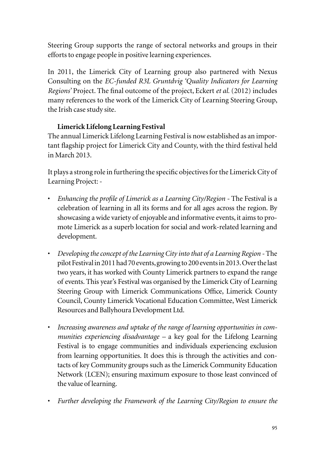Steering Group supports the range of sectoral networks and groups in their efforts to engage people in positive learning experiences.

In 2011, the Limerick City of Learning group also partnered with Nexus Consulting on the *EC-funded R3L Gruntdvig 'Quality Indicators for Learning Regions'* Project. The final outcome of the project, Eckert *et al.* (2012) includes many references to the work of the Limerick City of Learning Steering Group, the Irish case study site.

# **Limerick Lifelong Learning Festival**

The annual Limerick Lifelong Learning Festival is now established as an important flagship project for Limerick City and County, with the third festival held in March 2013.

It plays a strong role in furthering the specific objectives for the Limerick City of Learning Project: -

- *Enhancing the profile of Limerick as a Learning City/Region The Festival is a* celebration of learning in all its forms and for all ages across the region. By showcasing a wide variety of enjoyable and informative events, it aims to promote Limerick as a superb location for social and work-related learning and development.
- • *Developing the concept of the Learning City into that of a Learning Region* The pilot Festival in 2011 had 70 events, growing to 200 events in 2013. Over the last two years, it has worked with County Limerick partners to expand the range of events. This year's Festival was organised by the Limerick City of Learning Steering Group with Limerick Communications Office, Limerick County Council, County Limerick Vocational Education Committee, West Limerick Resources and Ballyhoura Development Ltd.
- Increasing awareness and uptake of the range of learning opportunities in com*munities experiencing disadvantage –* a key goal for the Lifelong Learning Festival is to engage communities and individuals experiencing exclusion from learning opportunities. It does this is through the activities and contacts of key Community groups such as the Limerick Community Education Network (LCEN); ensuring maximum exposure to those least convinced of the value of learning.
- • *Further developing the Framework of the Learning City/Region to ensure the*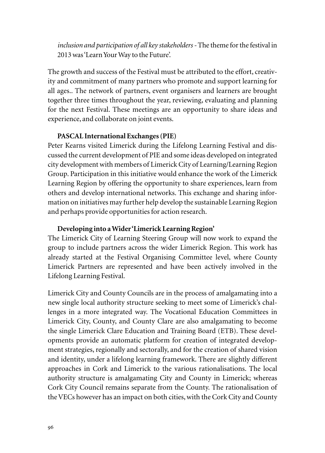*inclusion and participation of all key stakeholders -* The theme for the festival in 2013 was 'Learn Your Way to the Future'.

The growth and success of the Festival must be attributed to the effort, creativity and commitment of many partners who promote and support learning for all ages.. The network of partners, event organisers and learners are brought together three times throughout the year, reviewing, evaluating and planning for the next Festival. These meetings are an opportunity to share ideas and experience, and collaborate on joint events.

#### **PASCAL International Exchanges (PIE)**

Peter Kearns visited Limerick during the Lifelong Learning Festival and discussed the current development of PIE and some ideas developed on integrated city development with members of Limerick City of Learning/Learning Region Group. Participation in this initiative would enhance the work of the Limerick Learning Region by offering the opportunity to share experiences, learn from others and develop international networks. This exchange and sharing information on initiatives may further help develop the sustainable Learning Region and perhaps provide opportunities for action research.

#### **Developing into a Wider 'Limerick Learning Region'**

The Limerick City of Learning Steering Group will now work to expand the group to include partners across the wider Limerick Region. This work has already started at the Festival Organising Committee level, where County Limerick Partners are represented and have been actively involved in the Lifelong Learning Festival.

Limerick City and County Councils are in the process of amalgamating into a new single local authority structure seeking to meet some of Limerick's challenges in a more integrated way. The Vocational Education Committees in Limerick City, County, and County Clare are also amalgamating to become the single Limerick Clare Education and Training Board (ETB). These developments provide an automatic platform for creation of integrated development strategies, regionally and sectorally, and for the creation of shared vision and identity, under a lifelong learning framework. There are slightly different approaches in Cork and Limerick to the various rationalisations. The local authority structure is amalgamating City and County in Limerick; whereas Cork City Council remains separate from the County. The rationalisation of the VECs however has an impact on both cities, with the Cork City and County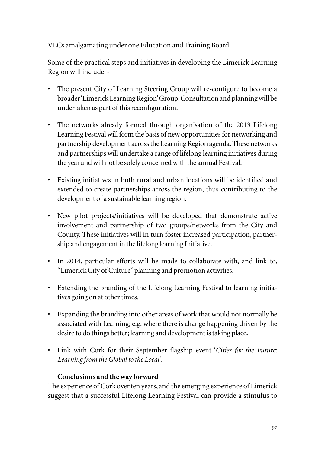VECs amalgamating under one Education and Training Board.

Some of the practical steps and initiatives in developing the Limerick Learning Region will include: -

- The present City of Learning Steering Group will re-configure to become a broader 'Limerick Learning Region' Group. Consultation and planning will be undertaken as part of this reconfiguration.
- The networks already formed through organisation of the 2013 Lifelong Learning Festival will form the basis of new opportunities for networking and partnership development across the Learning Region agenda. These networks and partnerships will undertake a range of lifelong learning initiatives during the year and will not be solely concerned with the annual Festival.
- • Existing initiatives in both rural and urban locations will be identified and extended to create partnerships across the region, thus contributing to the development of a sustainable learning region.
- • New pilot projects/initiatives will be developed that demonstrate active involvement and partnership of two groups/networks from the City and County. These initiatives will in turn foster increased participation, partnership and engagement in the lifelong learning Initiative.
- • In 2014, particular efforts will be made to collaborate with, and link to, "Limerick City of Culture" planning and promotion activities.
- Extending the branding of the Lifelong Learning Festival to learning initiatives going on at other times.
- • Expanding the branding into other areas of work that would not normally be associated with Learning; e.g. where there is change happening driven by the desire to do things better; learning and development is taking place**.**
- • Link with Cork for their September flagship event '*Cities for the Future: Learning from the Global to the Local'*.

## **Conclusions and the way forward**

The experience of Cork over ten years, and the emerging experience of Limerick suggest that a successful Lifelong Learning Festival can provide a stimulus to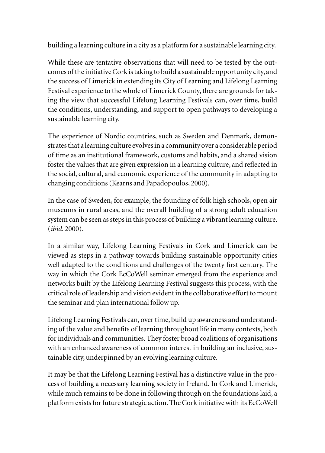building a learning culture in a city as a platform for a sustainable learning city.

While these are tentative observations that will need to be tested by the outcomes of the initiative Cork is taking to build a sustainable opportunity city, and the success of Limerick in extending its City of Learning and Lifelong Learning Festival experience to the whole of Limerick County, there are grounds for taking the view that successful Lifelong Learning Festivals can, over time, build the conditions, understanding, and support to open pathways to developing a sustainable learning city.

The experience of Nordic countries, such as Sweden and Denmark, demonstrates that a learning culture evolves in a community over a considerable period of time as an institutional framework, customs and habits, and a shared vision foster the values that are given expression in a learning culture, and reflected in the social, cultural, and economic experience of the community in adapting to changing conditions (Kearns and Papadopoulos, 2000).

In the case of Sweden, for example, the founding of folk high schools, open air museums in rural areas, and the overall building of a strong adult education system can be seen as steps in this process of building a vibrant learning culture. (*ibid.* 2000).

In a similar way, Lifelong Learning Festivals in Cork and Limerick can be viewed as steps in a pathway towards building sustainable opportunity cities well adapted to the conditions and challenges of the twenty first century. The way in which the Cork EcCoWell seminar emerged from the experience and networks built by the Lifelong Learning Festival suggests this process, with the critical role of leadership and vision evident in the collaborative effort to mount the seminar and plan international follow up.

Lifelong Learning Festivals can, over time, build up awareness and understanding of the value and benefits of learning throughout life in many contexts, both for individuals and communities. They foster broad coalitions of organisations with an enhanced awareness of common interest in building an inclusive, sustainable city, underpinned by an evolving learning culture.

It may be that the Lifelong Learning Festival has a distinctive value in the process of building a necessary learning society in Ireland. In Cork and Limerick, while much remains to be done in following through on the foundations laid, a platform exists for future strategic action. The Cork initiative with its EcCoWell